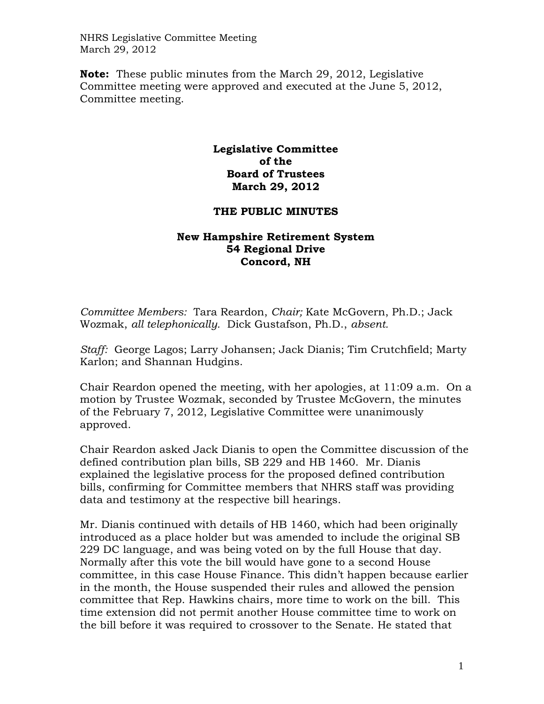NHRS Legislative Committee Meeting March 29, 2012

**Note:** These public minutes from the March 29, 2012, Legislative Committee meeting were approved and executed at the June 5, 2012, Committee meeting.

## **Legislative Committee of the Board of Trustees March 29, 2012**

## **THE PUBLIC MINUTES**

## **New Hampshire Retirement System 54 Regional Drive Concord, NH**

*Committee Members:* Tara Reardon, *Chair;* Kate McGovern, Ph.D.; Jack Wozmak, *all telephonically.* Dick Gustafson, Ph.D., *absent.* 

*Staff:* George Lagos; Larry Johansen; Jack Dianis; Tim Crutchfield; Marty Karlon; and Shannan Hudgins.

Chair Reardon opened the meeting, with her apologies, at 11:09 a.m. On a motion by Trustee Wozmak, seconded by Trustee McGovern, the minutes of the February 7, 2012, Legislative Committee were unanimously approved.

Chair Reardon asked Jack Dianis to open the Committee discussion of the defined contribution plan bills, SB 229 and HB 1460. Mr. Dianis explained the legislative process for the proposed defined contribution bills, confirming for Committee members that NHRS staff was providing data and testimony at the respective bill hearings.

Mr. Dianis continued with details of HB 1460, which had been originally introduced as a place holder but was amended to include the original SB 229 DC language, and was being voted on by the full House that day. Normally after this vote the bill would have gone to a second House committee, in this case House Finance. This didn't happen because earlier in the month, the House suspended their rules and allowed the pension committee that Rep. Hawkins chairs, more time to work on the bill. This time extension did not permit another House committee time to work on the bill before it was required to crossover to the Senate. He stated that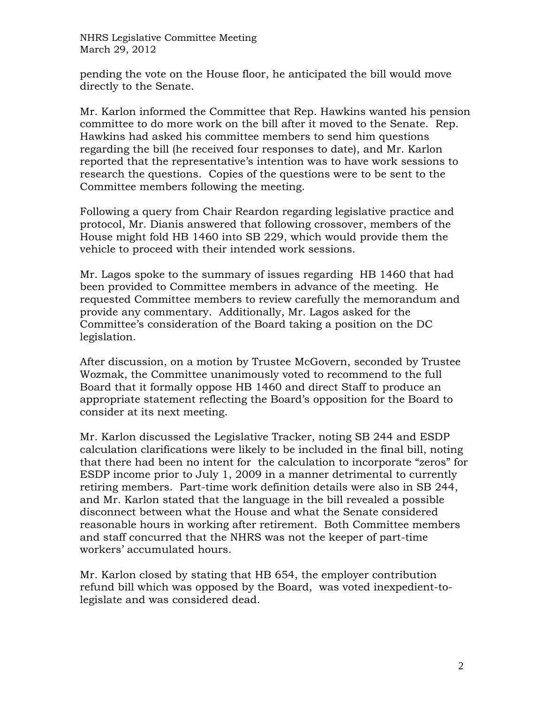NHRS Legislative Committee Meeting March 29, 2012

pending the vote on the House floor, he anticipated the bill would move directly to the Senate.

Mr. Karlon informed the Committee that Rep. Hawkins wanted his pension committee to do more work on the bill after it moved to the Senate. Rep. Hawkins had asked his committee members to send him questions regarding the bill (he received four responses to date), and Mr. Karlon reported that the representative's intention was to have work sessions to research the questions. Copies of the questions were to be sent to the Committee members following the meeting.

Following a query from Chair Reardon regarding legislative practice and protocol, Mr. Dianis answered that following crossover, members of the House might fold HB 1460 into SB 229, which would provide them the vehicle to proceed with their intended work sessions.

Mr. Lagos spoke to the summary of issues regarding HB 1460 that had been provided to Committee members in advance of the meeting. He requested Committee members to review carefully the memorandum and provide any commentary. Additionally, Mr. Lagos asked for the Committee's consideration of the Board taking a position on the DC legislation.

After discussion, on a motion by Trustee McGovern, seconded by Trustee Wozmak, the Committee unanimously voted to recommend to the full Board that it formally oppose HB 1460 and direct Staff to produce an appropriate statement reflecting the Board's opposition for the Board to consider at its next meeting.

Mr. Karlon discussed the Legislative Tracker, noting SB 244 and ESDP calculation clarifications were likely to be included in the final bill, noting that there had been no intent for the calculation to incorporate "zeros" for ESDP income prior to July 1, 2009 in a manner detrimental to currently retiring members. Part-time work definition details were also in SB 244, and Mr. Karlon stated that the language in the bill revealed a possible disconnect between what the House and what the Senate considered reasonable hours in working after retirement. Both Committee members and staff concurred that the NHRS was not the keeper of part-time workers' accumulated hours.

Mr. Karlon closed by stating that HB 654, the employer contribution refund bill which was opposed by the Board, was voted inexpedient-tolegislate and was considered dead.